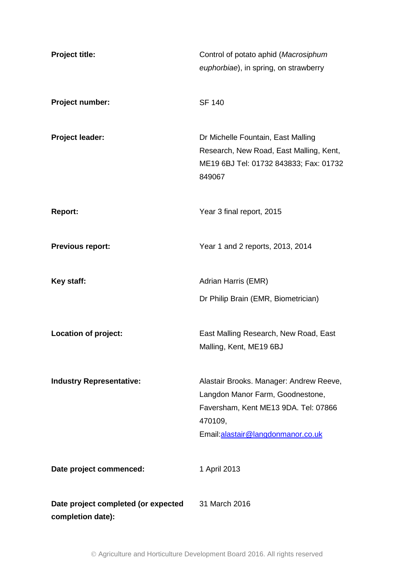| <b>Project title:</b>                                    | Control of potato aphid (Macrosiphum<br>euphorbiae), in spring, on strawberry                                                                                       |
|----------------------------------------------------------|---------------------------------------------------------------------------------------------------------------------------------------------------------------------|
| Project number:                                          | <b>SF 140</b>                                                                                                                                                       |
| <b>Project leader:</b>                                   | Dr Michelle Fountain, East Malling<br>Research, New Road, East Malling, Kent,<br>ME19 6BJ Tel: 01732 843833; Fax: 01732<br>849067                                   |
| <b>Report:</b>                                           | Year 3 final report, 2015                                                                                                                                           |
| <b>Previous report:</b>                                  | Year 1 and 2 reports, 2013, 2014                                                                                                                                    |
| Key staff:                                               | Adrian Harris (EMR)                                                                                                                                                 |
|                                                          | Dr Philip Brain (EMR, Biometrician)                                                                                                                                 |
| <b>Location of project:</b>                              | East Malling Research, New Road, East<br>Malling, Kent, ME19 6BJ                                                                                                    |
| <b>Industry Representative:</b>                          | Alastair Brooks. Manager: Andrew Reeve,<br>Langdon Manor Farm, Goodnestone,<br>Faversham, Kent ME13 9DA. Tel: 07866<br>470109,<br>Email:alastair@langdonmanor.co.uk |
| Date project commenced:                                  | 1 April 2013                                                                                                                                                        |
| Date project completed (or expected<br>completion date): | 31 March 2016                                                                                                                                                       |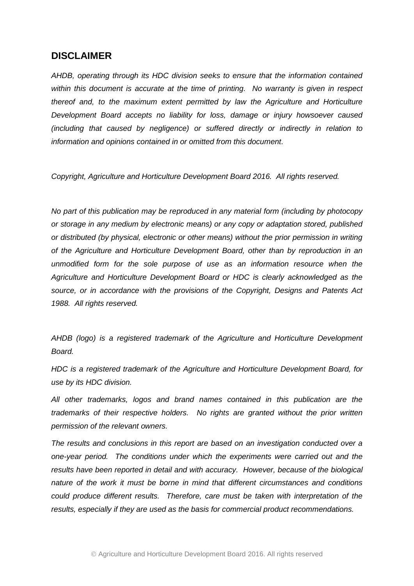## **DISCLAIMER**

*AHDB, operating through its HDC division seeks to ensure that the information contained within this document is accurate at the time of printing. No warranty is given in respect thereof and, to the maximum extent permitted by law the Agriculture and Horticulture Development Board accepts no liability for loss, damage or injury howsoever caused (including that caused by negligence) or suffered directly or indirectly in relation to information and opinions contained in or omitted from this document.* 

*Copyright, Agriculture and Horticulture Development Board 2016. All rights reserved.*

*No part of this publication may be reproduced in any material form (including by photocopy or storage in any medium by electronic means) or any copy or adaptation stored, published or distributed (by physical, electronic or other means) without the prior permission in writing of the Agriculture and Horticulture Development Board, other than by reproduction in an unmodified form for the sole purpose of use as an information resource when the Agriculture and Horticulture Development Board or HDC is clearly acknowledged as the source, or in accordance with the provisions of the Copyright, Designs and Patents Act 1988. All rights reserved.* 

*AHDB (logo) is a registered trademark of the Agriculture and Horticulture Development Board.*

*HDC is a registered trademark of the Agriculture and Horticulture Development Board, for use by its HDC division.*

*All other trademarks, logos and brand names contained in this publication are the trademarks of their respective holders. No rights are granted without the prior written permission of the relevant owners.*

*The results and conclusions in this report are based on an investigation conducted over a one-year period. The conditions under which the experiments were carried out and the results have been reported in detail and with accuracy. However, because of the biological nature of the work it must be borne in mind that different circumstances and conditions could produce different results. Therefore, care must be taken with interpretation of the results, especially if they are used as the basis for commercial product recommendations.*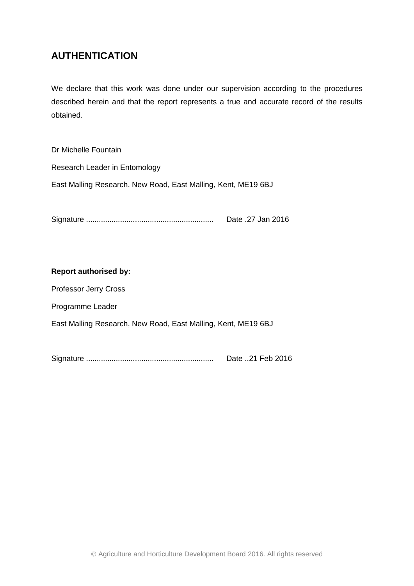## **AUTHENTICATION**

We declare that this work was done under our supervision according to the procedures described herein and that the report represents a true and accurate record of the results obtained.

Dr Michelle Fountain Research Leader in Entomology East Malling Research, New Road, East Malling, Kent, ME19 6BJ

Signature ............................................................ Date .27 Jan 2016

#### **Report authorised by:**

Professor Jerry Cross

Programme Leader

East Malling Research, New Road, East Malling, Kent, ME19 6BJ

Signature ............................................................ Date ..21 Feb 2016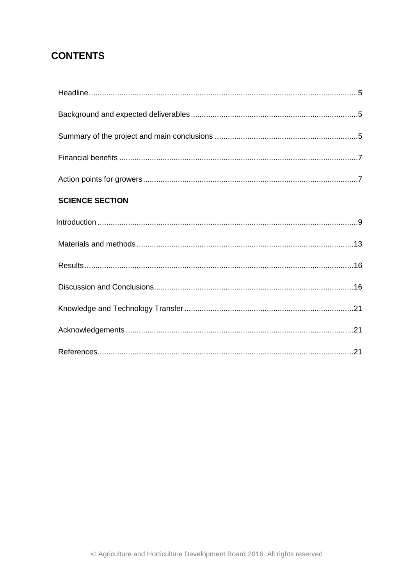# **CONTENTS**

| <b>SCIENCE SECTION</b> |  |
|------------------------|--|
|                        |  |
|                        |  |
|                        |  |
|                        |  |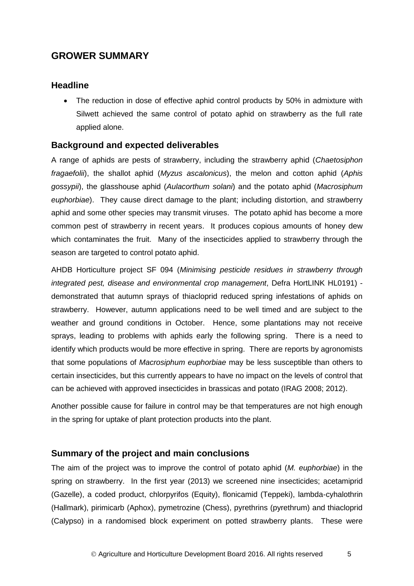## **GROWER SUMMARY**

### <span id="page-4-0"></span>**Headline**

 The reduction in dose of effective aphid control products by 50% in admixture with Silwett achieved the same control of potato aphid on strawberry as the full rate applied alone.

### <span id="page-4-1"></span>**Background and expected deliverables**

A range of aphids are pests of strawberry, including the strawberry aphid (*Chaetosiphon fragaefolii*), the shallot aphid (*Myzus ascalonicus*), the melon and cotton aphid (*Aphis gossypii*), the glasshouse aphid (*Aulacorthum solani*) and the potato aphid (*Macrosiphum euphorbiae*). They cause direct damage to the plant; including distortion, and strawberry aphid and some other species may transmit viruses. The potato aphid has become a more common pest of strawberry in recent years. It produces copious amounts of honey dew which contaminates the fruit. Many of the insecticides applied to strawberry through the season are targeted to control potato aphid.

AHDB Horticulture project SF 094 (*Minimising pesticide residues in strawberry through integrated pest, disease and environmental crop management*, Defra HortLINK HL0191) demonstrated that autumn sprays of thiacloprid reduced spring infestations of aphids on strawberry. However, autumn applications need to be well timed and are subject to the weather and ground conditions in October. Hence, some plantations may not receive sprays, leading to problems with aphids early the following spring. There is a need to identify which products would be more effective in spring. There are reports by agronomists that some populations of *Macrosiphum euphorbiae* may be less susceptible than others to certain insecticides, but this currently appears to have no impact on the levels of control that can be achieved with approved insecticides in brassicas and potato (IRAG 2008; 2012).

Another possible cause for failure in control may be that temperatures are not high enough in the spring for uptake of plant protection products into the plant.

## <span id="page-4-2"></span>**Summary of the project and main conclusions**

The aim of the project was to improve the control of potato aphid (*M. euphorbiae*) in the spring on strawberry. In the first year (2013) we screened nine insecticides; acetamiprid (Gazelle), a coded product, chlorpyrifos (Equity), flonicamid (Teppeki), lambda-cyhalothrin (Hallmark), pirimicarb (Aphox), pymetrozine (Chess), pyrethrins (pyrethrum) and thiacloprid (Calypso) in a randomised block experiment on potted strawberry plants. These were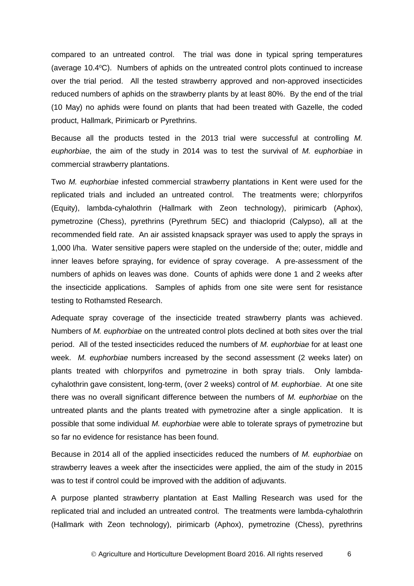compared to an untreated control. The trial was done in typical spring temperatures (average  $10.4\degree$ C). Numbers of aphids on the untreated control plots continued to increase over the trial period. All the tested strawberry approved and non-approved insecticides reduced numbers of aphids on the strawberry plants by at least 80%. By the end of the trial (10 May) no aphids were found on plants that had been treated with Gazelle, the coded product, Hallmark, Pirimicarb or Pyrethrins.

Because all the products tested in the 2013 trial were successful at controlling *M. euphorbiae*, the aim of the study in 2014 was to test the survival of *M. euphorbiae* in commercial strawberry plantations.

Two *M. euphorbiae* infested commercial strawberry plantations in Kent were used for the replicated trials and included an untreated control. The treatments were; chlorpyrifos (Equity), lambda-cyhalothrin (Hallmark with Zeon technology), pirimicarb (Aphox), pymetrozine (Chess), pyrethrins (Pyrethrum 5EC) and thiacloprid (Calypso), all at the recommended field rate. An air assisted knapsack sprayer was used to apply the sprays in 1,000 l/ha. Water sensitive papers were stapled on the underside of the; outer, middle and inner leaves before spraying, for evidence of spray coverage. A pre-assessment of the numbers of aphids on leaves was done. Counts of aphids were done 1 and 2 weeks after the insecticide applications. Samples of aphids from one site were sent for resistance testing to Rothamsted Research.

Adequate spray coverage of the insecticide treated strawberry plants was achieved. Numbers of *M. euphorbiae* on the untreated control plots declined at both sites over the trial period. All of the tested insecticides reduced the numbers of *M. euphorbiae* for at least one week. *M. euphorbiae* numbers increased by the second assessment (2 weeks later) on plants treated with chlorpyrifos and pymetrozine in both spray trials. Only lambdacyhalothrin gave consistent, long-term, (over 2 weeks) control of *M. euphorbiae*. At one site there was no overall significant difference between the numbers of *M. euphorbiae* on the untreated plants and the plants treated with pymetrozine after a single application. It is possible that some individual *M. euphorbiae* were able to tolerate sprays of pymetrozine but so far no evidence for resistance has been found.

Because in 2014 all of the applied insecticides reduced the numbers of *M. euphorbiae* on strawberry leaves a week after the insecticides were applied, the aim of the study in 2015 was to test if control could be improved with the addition of adjuvants.

A purpose planted strawberry plantation at East Malling Research was used for the replicated trial and included an untreated control. The treatments were lambda-cyhalothrin (Hallmark with Zeon technology), pirimicarb (Aphox), pymetrozine (Chess), pyrethrins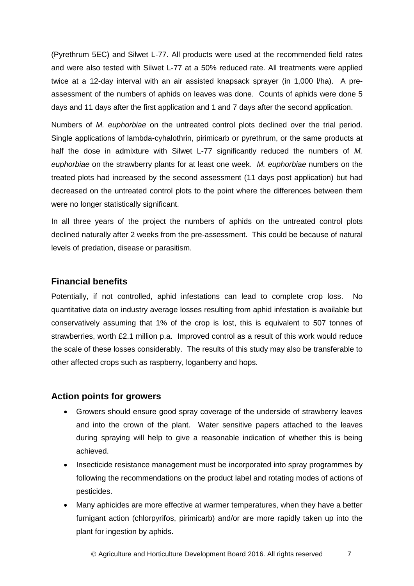(Pyrethrum 5EC) and Silwet L-77. All products were used at the recommended field rates and were also tested with Silwet L-77 at a 50% reduced rate. All treatments were applied twice at a 12-day interval with an air assisted knapsack sprayer (in 1,000 l/ha). A preassessment of the numbers of aphids on leaves was done. Counts of aphids were done 5 days and 11 days after the first application and 1 and 7 days after the second application.

Numbers of *M. euphorbiae* on the untreated control plots declined over the trial period. Single applications of lambda-cyhalothrin, pirimicarb or pyrethrum, or the same products at half the dose in admixture with Silwet L-77 significantly reduced the numbers of *M. euphorbiae* on the strawberry plants for at least one week. *M. euphorbiae* numbers on the treated plots had increased by the second assessment (11 days post application) but had decreased on the untreated control plots to the point where the differences between them were no longer statistically significant.

In all three years of the project the numbers of aphids on the untreated control plots declined naturally after 2 weeks from the pre-assessment. This could be because of natural levels of predation, disease or parasitism.

### <span id="page-6-0"></span>**Financial benefits**

<span id="page-6-1"></span>Potentially, if not controlled, aphid infestations can lead to complete crop loss. No quantitative data on industry average losses resulting from aphid infestation is available but conservatively assuming that 1% of the crop is lost, this is equivalent to 507 tonnes of strawberries, worth £2.1 million p.a. Improved control as a result of this work would reduce the scale of these losses considerably. The results of this study may also be transferable to other affected crops such as raspberry, loganberry and hops.

## **Action points for growers**

- Growers should ensure good spray coverage of the underside of strawberry leaves and into the crown of the plant. Water sensitive papers attached to the leaves during spraying will help to give a reasonable indication of whether this is being achieved.
- Insecticide resistance management must be incorporated into spray programmes by following the recommendations on the product label and rotating modes of actions of pesticides.
- Many aphicides are more effective at warmer temperatures, when they have a better fumigant action (chlorpyrifos, pirimicarb) and/or are more rapidly taken up into the plant for ingestion by aphids.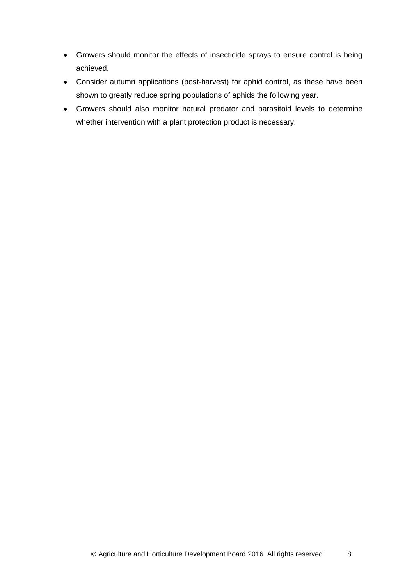- Growers should monitor the effects of insecticide sprays to ensure control is being achieved.
- Consider autumn applications (post-harvest) for aphid control, as these have been shown to greatly reduce spring populations of aphids the following year.
- Growers should also monitor natural predator and parasitoid levels to determine whether intervention with a plant protection product is necessary.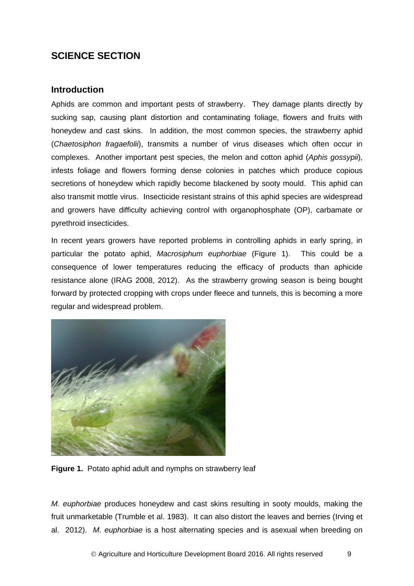## **SCIENCE SECTION**

### <span id="page-8-0"></span>**Introduction**

Aphids are common and important pests of strawberry. They damage plants directly by sucking sap, causing plant distortion and contaminating foliage, flowers and fruits with honeydew and cast skins. In addition, the most common species, the strawberry aphid (*Chaetosiphon fragaefolii*), transmits a number of virus diseases which often occur in complexes. Another important pest species, the melon and cotton aphid (*Aphis gossypii*), infests foliage and flowers forming dense colonies in patches which produce copious secretions of honeydew which rapidly become blackened by sooty mould. This aphid can also transmit mottle virus. Insecticide resistant strains of this aphid species are widespread and growers have difficulty achieving control with organophosphate (OP), carbamate or pyrethroid insecticides.

In recent years growers have reported problems in controlling aphids in early spring, in particular the potato aphid, *Macrosiphum euphorbiae* (Figure 1). This could be a consequence of lower temperatures reducing the efficacy of products than aphicide resistance alone (IRAG 2008, 2012). As the strawberry growing season is being bought forward by protected cropping with crops under fleece and tunnels, this is becoming a more regular and widespread problem.



**Figure 1.** Potato aphid adult and nymphs on strawberry leaf

*M. euphorbiae* produces honeydew and cast skins resulting in sooty moulds, making the fruit unmarketable (Trumble et al. 1983). It can also distort the leaves and berries (Irving et al. 2012). *M. euphorbiae* is a host alternating species and is asexual when breeding on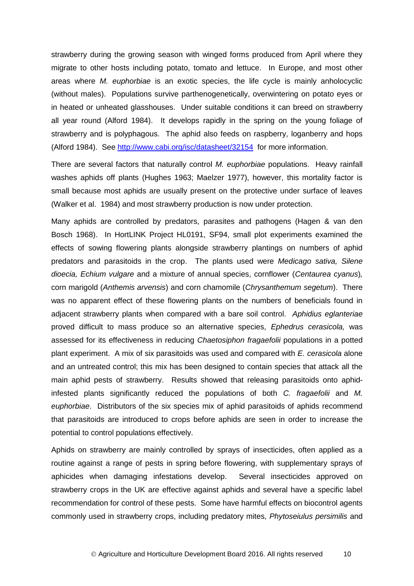strawberry during the growing season with winged forms produced from April where they migrate to other hosts including potato, tomato and lettuce. In Europe, and most other areas where *M. euphorbiae* is an exotic species, the life cycle is mainly anholocyclic (without males). Populations survive parthenogenetically, overwintering on potato eyes or in heated or unheated glasshouses. Under suitable conditions it can breed on strawberry all year round (Alford 1984). It develops rapidly in the spring on the young foliage of strawberry and is polyphagous. The aphid also feeds on raspberry, loganberry and hops (Alford 1984). See <http://www.cabi.org/isc/datasheet/32154> for more information.

There are several factors that naturally control *M. euphorbiae* populations. Heavy rainfall washes aphids off plants (Hughes 1963; Maelzer 1977), however, this mortality factor is small because most aphids are usually present on the protective under surface of leaves (Walker et al. 1984) and most strawberry production is now under protection.

Many aphids are controlled by predators, parasites and pathogens (Hagen & van den Bosch 1968). In HortLINK Project HL0191, SF94, small plot experiments examined the effects of sowing flowering plants alongside strawberry plantings on numbers of aphid predators and parasitoids in the crop. The plants used were *Medicago sativa, Silene dioecia, Echium vulgare* and a mixture of annual species, cornflower (*Centaurea cyanus*)*,*  corn marigold (*Anthemis arvensis*) and corn chamomile (*Chrysanthemum segetum*). There was no apparent effect of these flowering plants on the numbers of beneficials found in adjacent strawberry plants when compared with a bare soil control. *Aphidius eglanteriae* proved difficult to mass produce so an alternative species, *Ephedrus cerasicola,* was assessed for its effectiveness in reducing *Chaetosiphon fragaefolii* populations in a potted plant experiment. A mix of six parasitoids was used and compared with *E. cerasicola* alone and an untreated control; this mix has been designed to contain species that attack all the main aphid pests of strawberry. Results showed that releasing parasitoids onto aphidinfested plants significantly reduced the populations of both *C. fragaefolii* and *M. euphorbiae*. Distributors of the six species mix of aphid parasitoids of aphids recommend that parasitoids are introduced to crops before aphids are seen in order to increase the potential to control populations effectively.

Aphids on strawberry are mainly controlled by sprays of insecticides, often applied as a routine against a range of pests in spring before flowering, with supplementary sprays of aphicides when damaging infestations develop. Several insecticides approved on strawberry crops in the UK are effective against aphids and several have a specific label recommendation for control of these pests. Some have harmful effects on biocontrol agents commonly used in strawberry crops, including predatory mites, *Phytoseiulus persimilis* and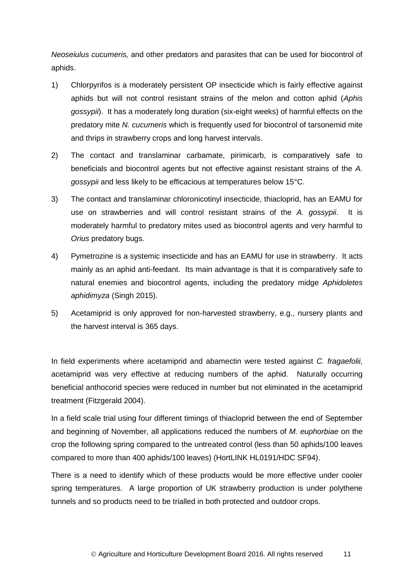*Neoseiulus cucumeris,* and other predators and parasites that can be used for biocontrol of aphids.

- 1) Chlorpyrifos is a moderately persistent OP insecticide which is fairly effective against aphids but will not control resistant strains of the melon and cotton aphid (*Aphis gossypii*). It has a moderately long duration (six-eight weeks) of harmful effects on the predatory mite *N. cucumeris* which is frequently used for biocontrol of tarsonemid mite and thrips in strawberry crops and long harvest intervals.
- 2) The contact and translaminar carbamate, pirimicarb, is comparatively safe to beneficials and biocontrol agents but not effective against resistant strains of the *A. gossypii* and less likely to be efficacious at temperatures below 15°C.
- 3) The contact and translaminar chloronicotinyl insecticide, thiacloprid, has an EAMU for use on strawberries and will control resistant strains of the *A. gossypii*. It is moderately harmful to predatory mites used as biocontrol agents and very harmful to *Orius* predatory bugs.
- 4) Pymetrozine is a systemic insecticide and has an EAMU for use in strawberry. It acts mainly as an aphid anti-feedant. Its main advantage is that it is comparatively safe to natural enemies and biocontrol agents, including the predatory midge *Aphidoletes aphidimyza* (Singh 2015).
- 5) Acetamiprid is only approved for non-harvested strawberry, e.g., nursery plants and the harvest interval is 365 days.

In field experiments where acetamiprid and abamectin were tested against *C. fragaefolii*, acetamiprid was very effective at reducing numbers of the aphid. Naturally occurring beneficial anthocorid species were reduced in number but not eliminated in the acetamiprid treatment (Fitzgerald 2004).

In a field scale trial using four different timings of thiacloprid between the end of September and beginning of November, all applications reduced the numbers of *M. euphorbiae* on the crop the following spring compared to the untreated control (less than 50 aphids/100 leaves compared to more than 400 aphids/100 leaves) (HortLINK HL0191/HDC SF94).

There is a need to identify which of these products would be more effective under cooler spring temperatures. A large proportion of UK strawberry production is under polythene tunnels and so products need to be trialled in both protected and outdoor crops.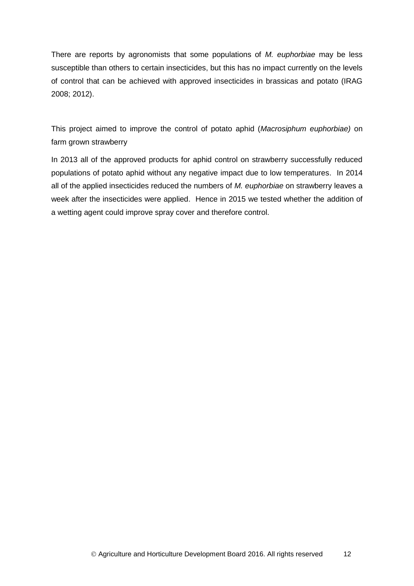There are reports by agronomists that some populations of *M. euphorbiae* may be less susceptible than others to certain insecticides, but this has no impact currently on the levels of control that can be achieved with approved insecticides in brassicas and potato (IRAG 2008; 2012).

This project aimed to improve the control of potato aphid (*Macrosiphum euphorbiae)* on farm grown strawberry

<span id="page-11-0"></span>In 2013 all of the approved products for aphid control on strawberry successfully reduced populations of potato aphid without any negative impact due to low temperatures. In 2014 all of the applied insecticides reduced the numbers of *M. euphorbiae* on strawberry leaves a week after the insecticides were applied. Hence in 2015 we tested whether the addition of a wetting agent could improve spray cover and therefore control.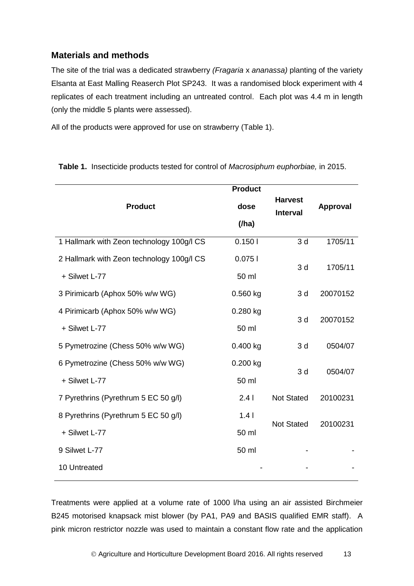## **Materials and methods**

The site of the trial was a dedicated strawberry *(Fragaria* x *ananassa)* planting of the variety Elsanta at East Malling Reaserch Plot SP243. It was a randomised block experiment with 4 replicates of each treatment including an untreated control. Each plot was 4.4 m in length (only the middle 5 plants were assessed).

All of the products were approved for use on strawberry (Table 1).

|                                           | <b>Product</b> |                                   |          |  |
|-------------------------------------------|----------------|-----------------------------------|----------|--|
| <b>Product</b>                            | dose           | <b>Harvest</b><br><b>Interval</b> | Approval |  |
|                                           | (/ha)          |                                   |          |  |
| 1 Hallmark with Zeon technology 100g/l CS | 0.1501         | 3d                                | 1705/11  |  |
| 2 Hallmark with Zeon technology 100g/l CS | 0.0751         | 3d                                | 1705/11  |  |
| + Silwet L-77                             | 50 ml          |                                   |          |  |
| 3 Pirimicarb (Aphox 50% w/w WG)           | $0.560$ kg     | 3d                                | 20070152 |  |
| 4 Pirimicarb (Aphox 50% w/w WG)           | 0.280 kg       | 3d                                | 20070152 |  |
| + Silwet L-77                             | 50 ml          |                                   |          |  |
| 5 Pymetrozine (Chess 50% w/w WG)          | $0.400$ kg     | 3d                                | 0504/07  |  |
| 6 Pymetrozine (Chess 50% w/w WG)          | $0.200$ kg     | 3d                                | 0504/07  |  |
| + Silwet L-77                             | 50 ml          |                                   |          |  |
| 7 Pyrethrins (Pyrethrum 5 EC 50 g/l)      | 2.41           | <b>Not Stated</b>                 | 20100231 |  |
| 8 Pyrethrins (Pyrethrum 5 EC 50 g/l)      | 1.41           | <b>Not Stated</b>                 |          |  |
| + Silwet L-77                             | 50 ml          |                                   | 20100231 |  |
| 9 Silwet L-77                             | 50 ml          |                                   |          |  |
| 10 Untreated                              |                |                                   |          |  |

**Table 1.** Insecticide products tested for control of *Macrosiphum euphorbiae,* in 2015.

Treatments were applied at a volume rate of 1000 l/ha using an air assisted Birchmeier B245 motorised knapsack mist blower (by PA1, PA9 and BASIS qualified EMR staff). A pink micron restrictor nozzle was used to maintain a constant flow rate and the application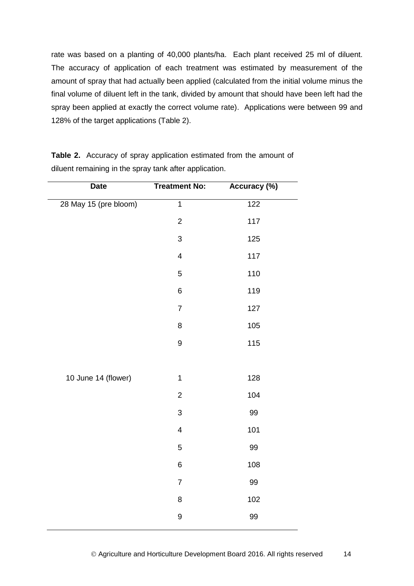rate was based on a planting of 40,000 plants/ha. Each plant received 25 ml of diluent. The accuracy of application of each treatment was estimated by measurement of the amount of spray that had actually been applied (calculated from the initial volume minus the final volume of diluent left in the tank, divided by amount that should have been left had the spray been applied at exactly the correct volume rate). Applications were between 99 and 128% of the target applications (Table 2).

| <b>Date</b>           | <b>Treatment No:</b>    | Accuracy (%) |  |
|-----------------------|-------------------------|--------------|--|
| 28 May 15 (pre bloom) | $\overline{1}$          | 122          |  |
|                       | $\mathbf 2$             | 117          |  |
|                       | $\mathbf{3}$            | 125          |  |
|                       | $\overline{\mathbf{4}}$ | 117          |  |
|                       | $\mathbf 5$             | 110          |  |
|                       | 6                       | 119          |  |
|                       | $\overline{7}$          | 127          |  |
|                       | 8                       | 105          |  |
|                       | $\boldsymbol{9}$        | 115          |  |
|                       |                         |              |  |
| 10 June 14 (flower)   | $\mathbf 1$             | 128          |  |
|                       | $\overline{2}$          | 104          |  |
|                       | $\mathbf{3}$            | 99           |  |
|                       | $\overline{\mathbf{4}}$ | 101          |  |
|                       | $\overline{5}$          | 99           |  |
|                       | $\,6$                   | 108          |  |
|                       | $\overline{7}$          | 99           |  |
|                       | 8                       | 102          |  |
|                       | 9                       | 99           |  |

**Table 2.** Accuracy of spray application estimated from the amount of diluent remaining in the spray tank after application.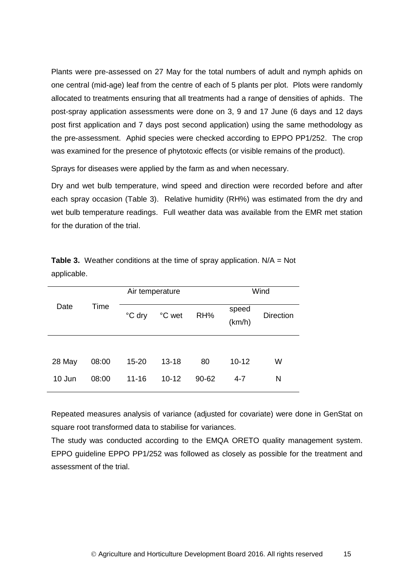Plants were pre-assessed on 27 May for the total numbers of adult and nymph aphids on one central (mid-age) leaf from the centre of each of 5 plants per plot. Plots were randomly allocated to treatments ensuring that all treatments had a range of densities of aphids. The post-spray application assessments were done on 3, 9 and 17 June (6 days and 12 days post first application and 7 days post second application) using the same methodology as the pre-assessment. Aphid species were checked according to EPPO PP1/252. The crop was examined for the presence of phytotoxic effects (or visible remains of the product).

Sprays for diseases were applied by the farm as and when necessary.

Dry and wet bulb temperature, wind speed and direction were recorded before and after each spray occasion (Table 3). Relative humidity (RH%) was estimated from the dry and wet bulb temperature readings. Full weather data was available from the EMR met station for the duration of the trial.

|        |       | Air temperature |           |           | Wind            |                  |  |
|--------|-------|-----------------|-----------|-----------|-----------------|------------------|--|
| Date   | Time  | °C dry          | °C wet    | RH%       | speed<br>(km/h) | <b>Direction</b> |  |
|        |       |                 |           |           |                 |                  |  |
| 28 May | 08:00 | 15-20           | $13 - 18$ | 80        | $10 - 12$       | W                |  |
| 10 Jun | 08:00 | $11 - 16$       | $10 - 12$ | $90 - 62$ | $4 - 7$         | N                |  |

**Table 3.** Weather conditions at the time of spray application. N/A = Not applicable.

Repeated measures analysis of variance (adjusted for covariate) were done in GenStat on square root transformed data to stabilise for variances.

The study was conducted according to the EMQA ORETO quality management system. EPPO guideline EPPO PP1/252 was followed as closely as possible for the treatment and assessment of the trial.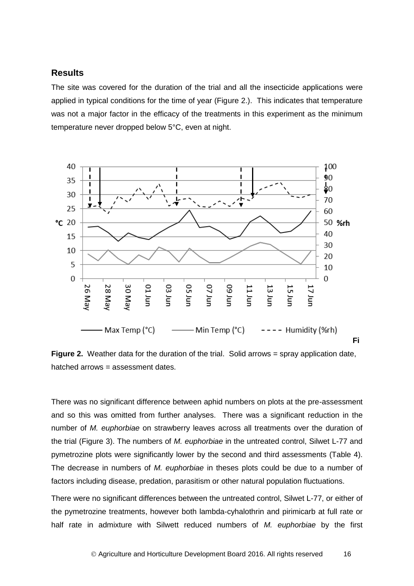### <span id="page-15-0"></span>**Results**

<span id="page-15-1"></span>The site was covered for the duration of the trial and all the insecticide applications were applied in typical conditions for the time of year (Figure 2.). This indicates that temperature was not a major factor in the efficacy of the treatments in this experiment as the minimum temperature never dropped below 5°C, even at night.



**Figure 2.** Weather data for the duration of the trial. Solid arrows = spray application date, hatched arrows = assessment dates.

There was no significant difference between aphid numbers on plots at the pre-assessment and so this was omitted from further analyses. There was a significant reduction in the number of *M. euphorbiae* on strawberry leaves across all treatments over the duration of the trial (Figure 3). The numbers of *M. euphorbiae* in the untreated control, Silwet L-77 and pymetrozine plots were significantly lower by the second and third assessments (Table 4). The decrease in numbers of *M. euphorbiae* in theses plots could be due to a number of factors including disease, predation, parasitism or other natural population fluctuations.

There were no significant differences between the untreated control, Silwet L-77, or either of the pymetrozine treatments, however both lambda-cyhalothrin and pirimicarb at full rate or half rate in admixture with Silwett reduced numbers of *M. euphorbiae* by the first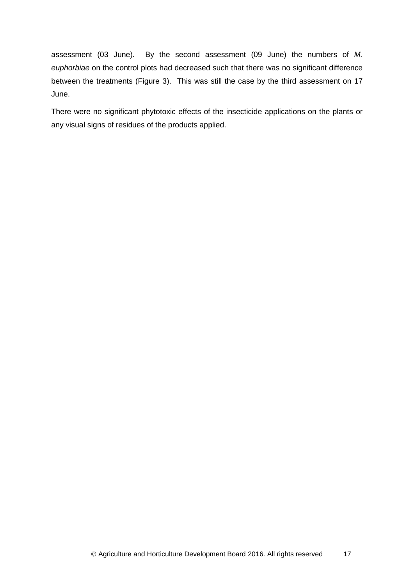assessment (03 June). By the second assessment (09 June) the numbers of *M. euphorbiae* on the control plots had decreased such that there was no significant difference between the treatments (Figure 3). This was still the case by the third assessment on 17 June.

There were no significant phytotoxic effects of the insecticide applications on the plants or any visual signs of residues of the products applied.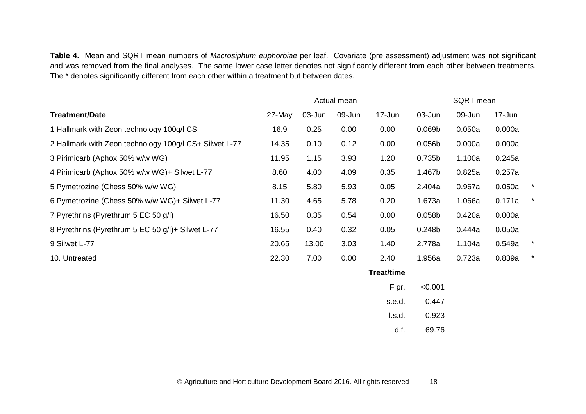**Table 4.** Mean and SQRT mean numbers of *Macrosiphum euphorbiae* per leaf. Covariate (pre assessment) adjustment was not significant and was removed from the final analyses. The same lower case letter denotes not significantly different from each other between treatments. The \* denotes significantly different from each other within a treatment but between dates.

|                                                        | Actual mean |        |        | SQRT mean         |                    |        |        |          |
|--------------------------------------------------------|-------------|--------|--------|-------------------|--------------------|--------|--------|----------|
| <b>Treatment/Date</b>                                  | 27-May      | 03-Jun | 09-Jun | 17-Jun            | 03-Jun             | 09-Jun | 17-Jun |          |
| 1 Hallmark with Zeon technology 100g/l CS              | 16.9        | 0.25   | 0.00   | 0.00              | 0.069 <sub>b</sub> | 0.050a | 0.000a |          |
| 2 Hallmark with Zeon technology 100g/l CS+ Silwet L-77 | 14.35       | 0.10   | 0.12   | 0.00              | 0.056b             | 0.000a | 0.000a |          |
| 3 Pirimicarb (Aphox 50% w/w WG)                        | 11.95       | 1.15   | 3.93   | 1.20              | 0.735b             | 1.100a | 0.245a |          |
| 4 Pirimicarb (Aphox 50% w/w WG)+ Silwet L-77           | 8.60        | 4.00   | 4.09   | 0.35              | 1.467b             | 0.825a | 0.257a |          |
| 5 Pymetrozine (Chess 50% w/w WG)                       | 8.15        | 5.80   | 5.93   | 0.05              | 2.404a             | 0.967a | 0.050a | $\star$  |
| 6 Pymetrozine (Chess 50% w/w WG)+ Silwet L-77          | 11.30       | 4.65   | 5.78   | 0.20              | 1.673a             | 1.066a | 0.171a | $\star$  |
| 7 Pyrethrins (Pyrethrum 5 EC 50 g/l)                   | 16.50       | 0.35   | 0.54   | 0.00              | 0.058 <sub>b</sub> | 0.420a | 0.000a |          |
| 8 Pyrethrins (Pyrethrum 5 EC 50 g/l)+ Silwet L-77      | 16.55       | 0.40   | 0.32   | 0.05              | 0.248b             | 0.444a | 0.050a |          |
| 9 Silwet L-77                                          | 20.65       | 13.00  | 3.03   | 1.40              | 2.778a             | 1.104a | 0.549a | $^\star$ |
| 10. Untreated                                          | 22.30       | 7.00   | 0.00   | 2.40              | 1.956a             | 0.723a | 0.839a | $\star$  |
|                                                        |             |        |        | <b>Treat/time</b> |                    |        |        |          |
|                                                        |             |        |        | F pr.             | < 0.001            |        |        |          |
|                                                        |             |        |        | s.e.d.            | 0.447              |        |        |          |
|                                                        |             |        |        | l.s.d.            | 0.923              |        |        |          |
|                                                        |             |        |        | d.f.              | 69.76              |        |        |          |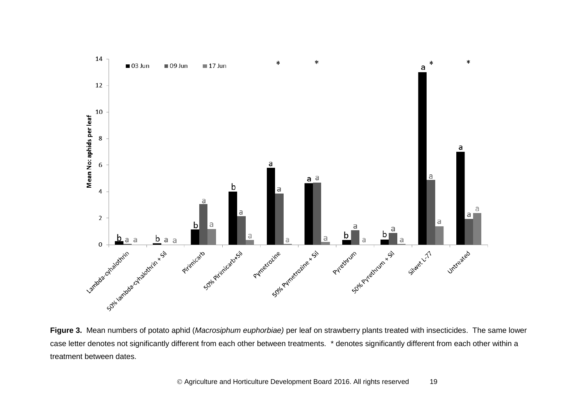

**Figure 3.** Mean numbers of potato aphid (*Macrosiphum euphorbiae)* per leaf on strawberry plants treated with insecticides. The same lower case letter denotes not significantly different from each other between treatments. \* denotes significantly different from each other within a treatment between dates.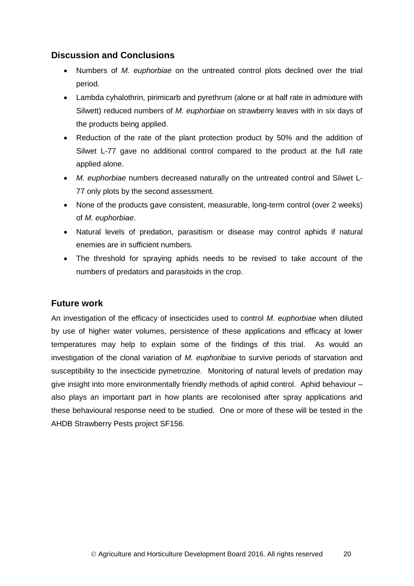## **Discussion and Conclusions**

- Numbers of *M. euphorbiae* on the untreated control plots declined over the trial period.
- Lambda cyhalothrin, pirimicarb and pyrethrum (alone or at half rate in admixture with Silwett) reduced numbers of *M. euphorbiae* on strawberry leaves with in six days of the products being applied.
- Reduction of the rate of the plant protection product by 50% and the addition of Silwet L-77 gave no additional control compared to the product at the full rate applied alone.
- *M. euphorbiae* numbers decreased naturally on the untreated control and Silwet L-77 only plots by the second assessment.
- None of the products gave consistent, measurable, long-term control (over 2 weeks) of *M. euphorbiae*.
- Natural levels of predation, parasitism or disease may control aphids if natural enemies are in sufficient numbers.
- The threshold for spraying aphids needs to be revised to take account of the numbers of predators and parasitoids in the crop.

## **Future work**

An investigation of the efficacy of insecticides used to control *M. euphorbiae* when diluted by use of higher water volumes, persistence of these applications and efficacy at lower temperatures may help to explain some of the findings of this trial. As would an investigation of the clonal variation of *M. euphoribiae* to survive periods of starvation and susceptibility to the insecticide pymetrozine. Monitoring of natural levels of predation may give insight into more environmentally friendly methods of aphid control. Aphid behaviour – also plays an important part in how plants are recolonised after spray applications and these behavioural response need to be studied. One or more of these will be tested in the AHDB Strawberry Pests project SF156.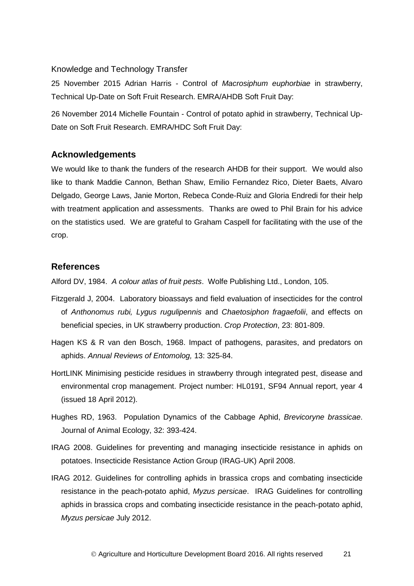#### <span id="page-20-0"></span>Knowledge and Technology Transfer

25 November 2015 Adrian Harris - Control of *Macrosiphum euphorbiae* in strawberry, Technical Up-Date on Soft Fruit Research. EMRA/AHDB Soft Fruit Day:

26 November 2014 Michelle Fountain - Control of potato aphid in strawberry, Technical Up-Date on Soft Fruit Research. EMRA/HDC Soft Fruit Day:

#### <span id="page-20-1"></span>**Acknowledgements**

We would like to thank the funders of the research AHDB for their support. We would also like to thank Maddie Cannon, Bethan Shaw, Emilio Fernandez Rico, Dieter Baets, Alvaro Delgado, George Laws, Janie Morton, Rebeca Conde-Ruiz and Gloria Endredi for their help with treatment application and assessments. Thanks are owed to Phil Brain for his advice on the statistics used. We are grateful to Graham Caspell for facilitating with the use of the crop.

#### <span id="page-20-2"></span>**References**

Alford DV, 1984. *A colour atlas of fruit pests*. Wolfe Publishing Ltd., London, 105.

- Fitzgerald J, 2004. Laboratory bioassays and field evaluation of insecticides for the control of *Anthonomus rubi, Lygus rugulipennis* and *Chaetosiphon fragaefolii*, and effects on beneficial species, in UK strawberry production. *Crop Protection*, 23: 801-809.
- Hagen KS & R van den Bosch, 1968. Impact of pathogens, parasites, and predators on aphids. *Annual Reviews of Entomolog,* 13: 325-84.
- HortLINK Minimising pesticide residues in strawberry through integrated pest, disease and environmental crop management. Project number: HL0191, SF94 Annual report, year 4 (issued 18 April 2012).
- Hughes RD, 1963. Population Dynamics of the Cabbage Aphid, *Brevicoryne brassicae*. Journal of Animal Ecology, 32: 393-424.
- IRAG 2008. Guidelines for preventing and managing insecticide resistance in aphids on potatoes. Insecticide Resistance Action Group (IRAG-UK) April 2008.
- IRAG 2012. Guidelines for controlling aphids in brassica crops and combating insecticide resistance in the peach-potato aphid, *Myzus persicae*. IRAG Guidelines for controlling aphids in brassica crops and combating insecticide resistance in the peach-potato aphid, *Myzus persicae* July 2012.